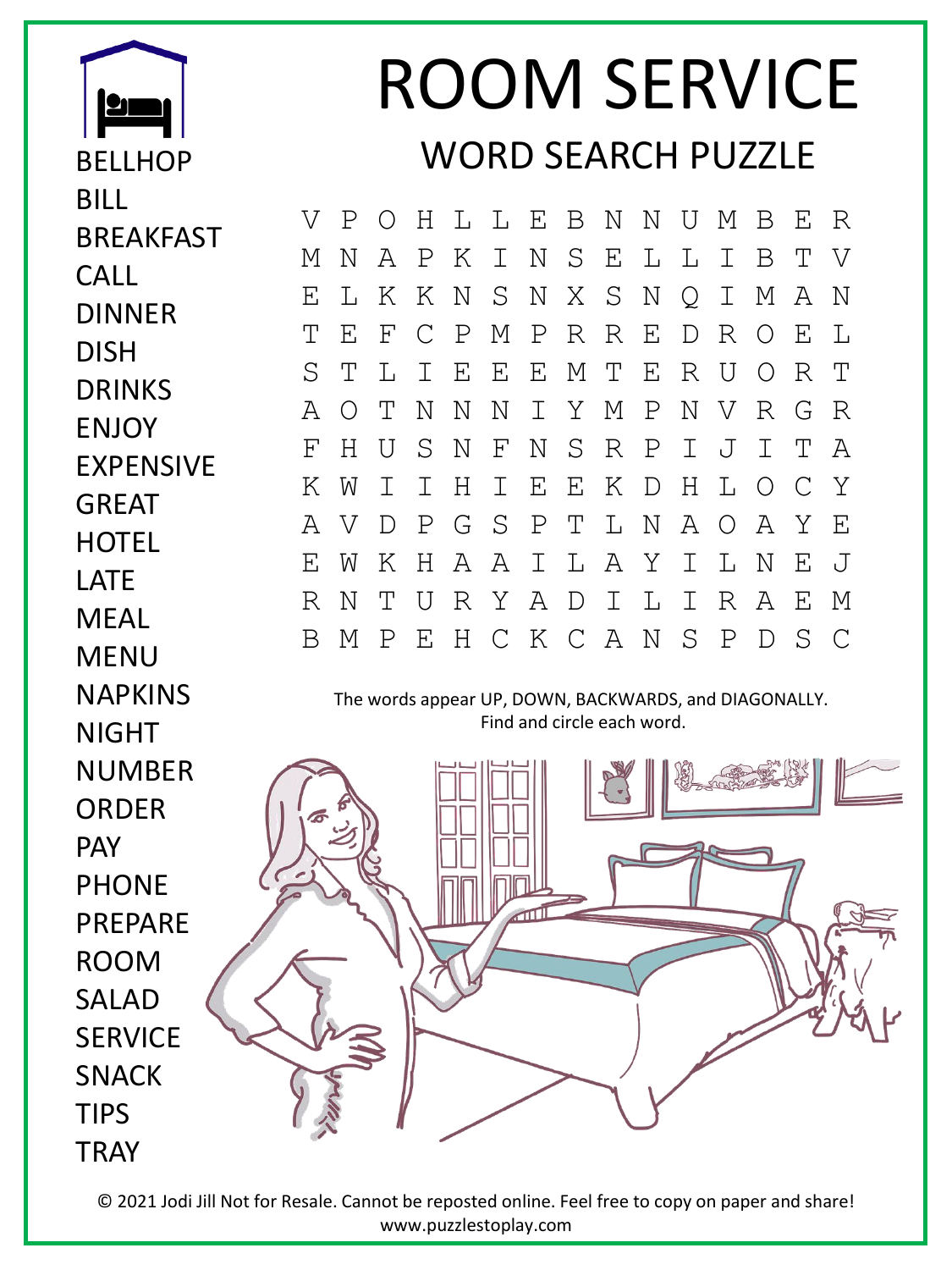

BELLHOP

**BRFAKFAST** 

BILL

CALL

DISH

DINNER

DRINKS

**FNJOY** 

GREAT

**HOTEL** 

LATE

**MFAI** 

MENU

NAPKINS

EXPENSIVE

## ROOM SERVICE WORD SEARCH PUZZLE

V P O H L L E B N N U M B E R M N A P K I N S E L L I B T V E L K K N S N X S N Q I M A N T E F C P M P R R E D R O E L S T L I E E E M T E R U O R T A O T N N N I Y M P N V R G R F H U S N F N S R P I J I T A K W I I H I E E K D H L O C Y A V D P G S P T L N A O A Y E E W K H A A I L A Y I L N E J R N T U R Y A D I L I R A E M B M P E H C K C A N S P D S C

The words appear UP, DOWN, BACKWARDS, and DIAGONALLY. Find and circle each word.



© 2021 Jodi Jill Not for Resale. Cannot be reposted online. Feel free to copy on paper and share! www.puzzlestoplay.com